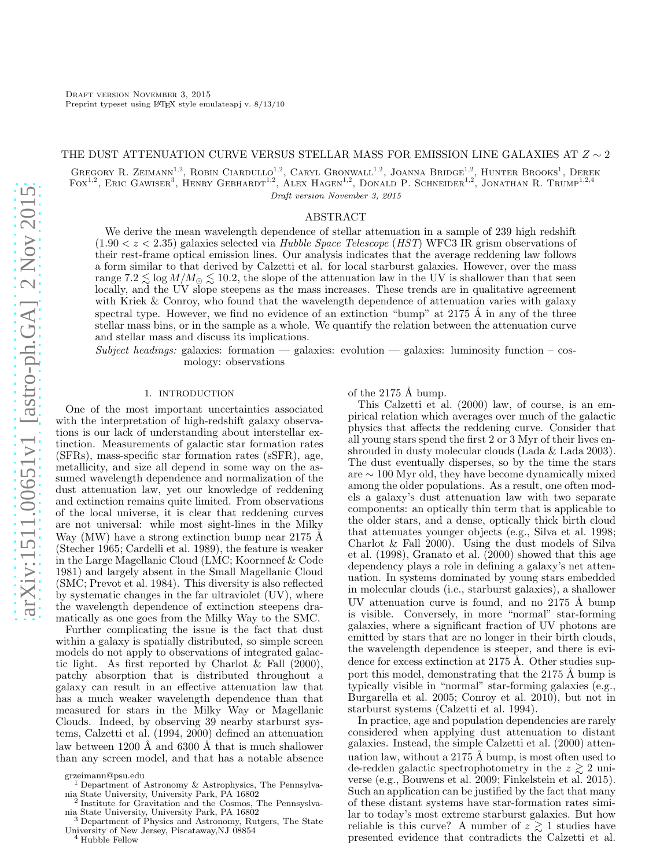#### THE DUST ATTENUATION CURVE VERSUS STELLAR MASS FOR EMISSION LINE GALAXIES AT  $Z \sim 2$

GREGORY R. ZEIMANN<sup>1,2</sup>, ROBIN CIARDULLO<sup>1,2</sup>, CARYL GRONWALL<sup>1,2</sup>, JOANNA BRIDGE<sup>1,2</sup>, HUNTER BROOKS<sup>1</sup>, DEREK FOX<sup>1,2</sup>, ERIC GAWISER<sup>3</sup>, HENRY GEBHARDT<sup>1,2</sup>, ALEX HAGEN<sup>1,2</sup>, DONALD P. SCHNEIDER<sup>1,2</sup>, JONATHAN R. TRUMP<sup>1,2,4</sup> Draft version November 3, 2015

# ABSTRACT

We derive the mean wavelength dependence of stellar attenuation in a sample of 239 high redshift  $(1.90 < z < 2.35)$  galaxies selected via Hubble Space Telescope (HST) WFC3 IR grism observations of their rest-frame optical emission lines. Our analysis indicates that the average reddening law follows a form similar to that derived by Calzetti et al. for local starburst galaxies. However, over the mass range 7.2  $\lesssim \log M/M_{\odot} \lesssim 10.2$ , the slope of the attenuation law in the UV is shallower than that seen locally, and the UV slope steepens as the mass increases. These trends are in qualitative agreement with Kriek & Conroy, who found that the wavelength dependence of attenuation varies with galaxy spectral type. However, we find no evidence of an extinction "bump" at  $2175 \text{ Å}$  in any of the three stellar mass bins, or in the sample as a whole. We quantify the relation between the attenuation curve and stellar mass and discuss its implications.

Subject headings: galaxies: formation — galaxies: evolution — galaxies: luminosity function – cosmology: observations

### 1. INTRODUCTION

One of the most important uncertainties associated with the interpretation of high-redshift galaxy observations is our lack of understanding about interstellar extinction. Measurements of galactic star formation rates (SFRs), mass-specific star formation rates (sSFR), age, metallicity, and size all depend in some way on the assumed wavelength dependence and normalization of the dust attenuation law, yet our knowledge of reddening and extinction remains quite limited. From observations of the local universe, it is clear that reddening curves are not universal: while most sight-lines in the Milky Way (MW) have a strong extinction bump near  $2175 \text{ Å}$ (Stecher 1965; Cardelli et al. 1989), the feature is weaker in the Large Magellanic Cloud (LMC; Koornneef & Code 1981) and largely absent in the Small Magellanic Cloud (SMC; Prevot et al. 1984). This diversity is also reflected by systematic changes in the far ultraviolet (UV), where the wavelength dependence of extinction steepens dramatically as one goes from the Milky Way to the SMC.

Further complicating the issue is the fact that dust within a galaxy is spatially distributed, so simple screen models do not apply to observations of integrated galactic light. As first reported by Charlot & Fall (2000), patchy absorption that is distributed throughout a galaxy can result in an effective attenuation law that has a much weaker wavelength dependence than that measured for stars in the Milky Way or Magellanic Clouds. Indeed, by observing 39 nearby starburst systems, Calzetti et al. (1994, 2000) defined an attenuation law between 1200 Å and  $6300$  Å that is much shallower than any screen model, and that has a notable absence

of the  $2175 \text{ Å bump}$ .

This Calzetti et al. (2000) law, of course, is an empirical relation which averages over much of the galactic physics that affects the reddening curve. Consider that all young stars spend the first 2 or 3 Myr of their lives enshrouded in dusty molecular clouds (Lada & Lada 2003). The dust eventually disperses, so by the time the stars are ∼ 100 Myr old, they have become dynamically mixed among the older populations. As a result, one often models a galaxy's dust attenuation law with two separate components: an optically thin term that is applicable to the older stars, and a dense, optically thick birth cloud that attenuates younger objects (e.g., Silva et al. 1998; Charlot & Fall 2000). Using the dust models of Silva et al. (1998), Granato et al. (2000) showed that this age dependency plays a role in defining a galaxy's net attenuation. In systems dominated by young stars embedded in molecular clouds (i.e., starburst galaxies), a shallower UV attenuation curve is found, and no  $2175 \text{ Å}$  bump is visible. Conversely, in more "normal" star-forming galaxies, where a significant fraction of UV photons are emitted by stars that are no longer in their birth clouds, the wavelength dependence is steeper, and there is evidence for excess extinction at  $2175 \text{ Å}$ . Other studies support this model, demonstrating that the  $2175 \text{ Å}$  bump is typically visible in "normal" star-forming galaxies (e.g., Burgarella et al. 2005; Conroy et al. 2010), but not in starburst systems (Calzetti et al. 1994).

In practice, age and population dependencies are rarely considered when applying dust attenuation to distant galaxies. Instead, the simple Calzetti et al. (2000) attenuation law, without a  $2175 \text{ Å}$  bump, is most often used to de-redden galactic spectrophotometry in the  $z \geq 2$  universe (e.g., Bouwens et al. 2009; Finkelstein et al. 2015). Such an application can be justified by the fact that many of these distant systems have star-formation rates similar to today's most extreme starburst galaxies. But how reliable is this curve? A number of  $z \gtrsim 1$  studies have presented evidence that contradicts the Calzetti et al.

grzeimann@psu.edu

<sup>1</sup> Department of Astronomy & Astrophysics, The Pennsylvania State University, University Park, PA 16802 2

Institute for Gravitation and the Cosmos, The Pennsyslvania State University, University Park, PA 16802

Department of Physics and Astronomy, Rutgers, The State University of New Jersey, Piscataway,NJ 08854

<sup>&</sup>lt;sup>4</sup> Hubble Fellow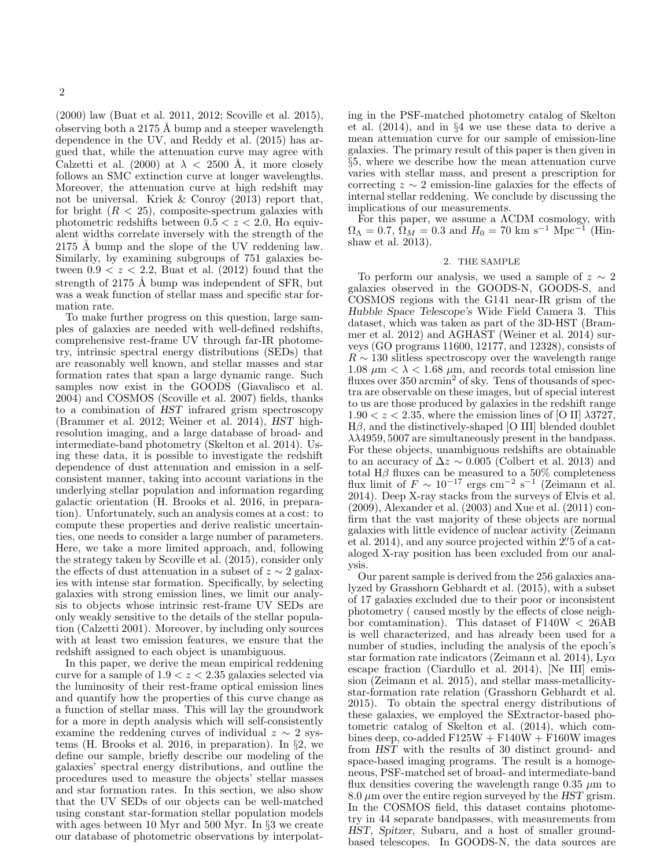(2000) law (Buat et al. 2011, 2012; Scoville et al. 2015), observing both a 2175 Å bump and a steeper wavelength dependence in the UV, and Reddy et al. (2015) has argued that, while the attenuation curve may agree with Calzetti et al. (2000) at  $\lambda$  < 2500 Å, it more closely follows an SMC extinction curve at longer wavelengths. Moreover, the attenuation curve at high redshift may not be universal. Kriek & Conroy (2013) report that, for bright  $(R < 25)$ , composite-spectrum galaxies with photometric redshifts between  $0.5 < z < 2.0$ , H $\alpha$  equivalent widths correlate inversely with the strength of the  $2175$  Å bump and the slope of the UV reddening law. Similarly, by examining subgroups of 751 galaxies between  $0.9 < z < 2.2$ , Buat et al. (2012) found that the strength of 2175 Å bump was independent of SFR, but was a weak function of stellar mass and specific star formation rate.

To make further progress on this question, large samples of galaxies are needed with well-defined redshifts, comprehensive rest-frame UV through far-IR photometry, intrinsic spectral energy distributions (SEDs) that are reasonably well known, and stellar masses and star formation rates that span a large dynamic range. Such samples now exist in the GOODS (Giavalisco et al. 2004) and COSMOS (Scoville et al. 2007) fields, thanks to a combination of HST infrared grism spectroscopy (Brammer et al. 2012; Weiner et al. 2014), HST highresolution imaging, and a large database of broad- and intermediate-band photometry (Skelton et al. 2014). Using these data, it is possible to investigate the redshift dependence of dust attenuation and emission in a selfconsistent manner, taking into account variations in the underlying stellar population and information regarding galactic orientation (H. Brooks et al. 2016, in preparation). Unfortunately, such an analysis comes at a cost: to compute these properties and derive realistic uncertainties, one needs to consider a large number of parameters. Here, we take a more limited approach, and, following the strategy taken by Scoville et al. (2015), consider only the effects of dust attenuation in a subset of  $z \sim 2$  galaxies with intense star formation. Specifically, by selecting galaxies with strong emission lines, we limit our analysis to objects whose intrinsic rest-frame UV SEDs are only weakly sensitive to the details of the stellar population (Calzetti 2001). Moreover, by including only sources with at least two emission features, we ensure that the redshift assigned to each object is unambiguous.

In this paper, we derive the mean empirical reddening curve for a sample of  $1.9 < z < 2.35$  galaxies selected via the luminosity of their rest-frame optical emission lines and quantify how the properties of this curve change as a function of stellar mass. This will lay the groundwork for a more in depth analysis which will self-consistently examine the reddening curves of individual  $z \sim 2$  systems (H. Brooks et al. 2016, in preparation). In §2, we define our sample, briefly describe our modeling of the galaxies' spectral energy distributions, and outline the procedures used to measure the objects' stellar masses and star formation rates. In this section, we also show that the UV SEDs of our objects can be well-matched using constant star-formation stellar population models with ages between 10 Myr and 500 Myr. In §3 we create our database of photometric observations by interpolating in the PSF-matched photometry catalog of Skelton et al. (2014), and in §4 we use these data to derive a mean attenuation curve for our sample of emission-line galaxies. The primary result of this paper is then given in §5, where we describe how the mean attenuation curve varies with stellar mass, and present a prescription for correcting  $z \sim 2$  emission-line galaxies for the effects of internal stellar reddening. We conclude by discussing the implications of our measurements.

For this paper, we assume a ΛCDM cosmology, with  $\Omega_{\Lambda} = 0.7, \, \Omega_M = 0.3$  and  $H_0 = 70 \text{ km s}^{-1} \text{ Mpc}^{-1}$  (Hinshaw et al. 2013).

# 2. THE SAMPLE

To perform our analysis, we used a sample of  $z \sim 2$ galaxies observed in the GOODS-N, GOODS-S, and COSMOS regions with the G141 near-IR grism of the Hubble Space Telescope's Wide Field Camera 3. This dataset, which was taken as part of the 3D-HST (Brammer et al. 2012) and AGHAST (Weiner et al. 2014) surveys (GO programs 11600, 12177, and 12328), consists of  $R \sim 130$  slitless spectroscopy over the wavelength range  $1.08 \mu m < \lambda < 1.68 \mu m$ , and records total emission line fluxes over 350 arcmin<sup>2</sup> of sky. Tens of thousands of spectra are observable on these images, but of special interest to us are those produced by galaxies in the redshift range  $1.90 < z < 2.35$ , where the emission lines of [O II]  $\lambda$ 3727,  $H\beta$ , and the distinctively-shaped [O III] blended doublet  $\lambda\lambda$ 4959, 5007 are simultaneously present in the bandpass. For these objects, unambiguous redshifts are obtainable to an accuracy of  $\Delta z \sim 0.005$  (Colbert et al. 2013) and total H $\beta$  fluxes can be measured to a 50% completeness flux limit of  $F \sim 10^{-17}$  ergs cm<sup>-2</sup> s<sup>-1</sup> (Zeimann et al. 2014). Deep X-ray stacks from the surveys of Elvis et al. (2009), Alexander et al. (2003) and Xue et al. (2011) confirm that the vast majority of these objects are normal galaxies with little evidence of nuclear activity (Zeimann et al. 2014), and any source projected within  $2\rlap{.}^{\prime\prime}5$  of a cataloged X-ray position has been excluded from our analysis.

Our parent sample is derived from the 256 galaxies analyzed by Grasshorn Gebhardt et al. (2015), with a subset of 17 galaxies excluded due to their poor or inconsistent photometry ( caused mostly by the effects of close neighbor comtamination). This dataset of F140W < 26AB is well characterized, and has already been used for a number of studies, including the analysis of the epoch's star formation rate indicators (Zeimann et al. 2014), Ly $\alpha$ escape fraction (Ciardullo et al. 2014), [Ne III] emission (Zeimann et al. 2015), and stellar mass-metallicitystar-formation rate relation (Grasshorn Gebhardt et al. 2015). To obtain the spectral energy distributions of these galaxies, we employed the SExtractor-based photometric catalog of Skelton et al. (2014), which combines deep, co-added  $F125W + F140W + F160W$  images from HST with the results of 30 distinct ground- and space-based imaging programs. The result is a homogeneous, PSF-matched set of broad- and intermediate-band flux densities covering the wavelength range 0.35  $\mu$ m to 8.0  $\mu$ m over the entire region surveyed by the HST grism. In the COSMOS field, this dataset contains photometry in 44 separate bandpasses, with measurements from HST, Spitzer, Subaru, and a host of smaller groundbased telescopes. In GOODS-N, the data sources are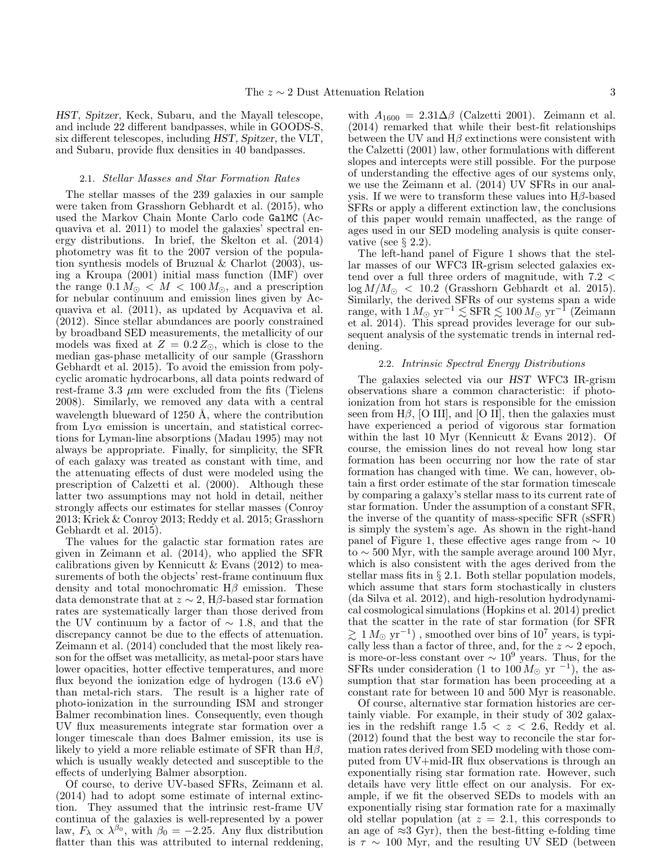HST, Spitzer, Keck, Subaru, and the Mayall telescope, and include 22 different bandpasses, while in GOODS-S, six different telescopes, including HST, Spitzer, the VLT, and Subaru, provide flux densities in 40 bandpasses.

#### 2.1. Stellar Masses and Star Formation Rates

The stellar masses of the 239 galaxies in our sample were taken from Grasshorn Gebhardt et al. (2015), who used the Markov Chain Monte Carlo code GalMC (Acquaviva et al. 2011) to model the galaxies' spectral energy distributions. In brief, the Skelton et al. (2014) photometry was fit to the 2007 version of the population synthesis models of Bruzual & Charlot (2003), using a Kroupa (2001) initial mass function (IMF) over the range  $0.1 M_{\odot} < M < 100 M_{\odot}$ , and a prescription for nebular continuum and emission lines given by Acquaviva et al. (2011), as updated by Acquaviva et al. (2012). Since stellar abundances are poorly constrained by broadband SED measurements, the metallicity of our models was fixed at  $Z = 0.2 Z_{\odot}$ , which is close to the median gas-phase metallicity of our sample (Grasshorn Gebhardt et al. 2015). To avoid the emission from polycyclic aromatic hydrocarbons, all data points redward of rest-frame 3.3  $\mu$ m were excluded from the fits (Tielens 2008). Similarly, we removed any data with a central wavelength blueward of  $1250 \text{ Å}$ , where the contribution from  $Ly\alpha$  emission is uncertain, and statistical corrections for Lyman-line absorptions (Madau 1995) may not always be appropriate. Finally, for simplicity, the SFR of each galaxy was treated as constant with time, and the attenuating effects of dust were modeled using the prescription of Calzetti et al. (2000). Although these latter two assumptions may not hold in detail, neither strongly affects our estimates for stellar masses (Conroy 2013; Kriek & Conroy 2013; Reddy et al. 2015; Grasshorn Gebhardt et al. 2015).

The values for the galactic star formation rates are given in Zeimann et al. (2014), who applied the SFR calibrations given by Kennicutt  $&$  Evans (2012) to measurements of both the objects' rest-frame continuum flux density and total monochromatic  $H\beta$  emission. These data demonstrate that at  $z \sim 2$ , H $\beta$ -based star formation rates are systematically larger than those derived from the UV continuum by a factor of  $\sim$  1.8, and that the discrepancy cannot be due to the effects of attenuation. Zeimann et al. (2014) concluded that the most likely reason for the offset was metallicity, as metal-poor stars have lower opacities, hotter effective temperatures, and more flux beyond the ionization edge of hydrogen (13.6 eV) than metal-rich stars. The result is a higher rate of photo-ionization in the surrounding ISM and stronger Balmer recombination lines. Consequently, even though UV flux measurements integrate star formation over a longer timescale than does Balmer emission, its use is likely to yield a more reliable estimate of SFR than  $H\beta$ , which is usually weakly detected and susceptible to the effects of underlying Balmer absorption.

Of course, to derive UV-based SFRs, Zeimann et al. (2014) had to adopt some estimate of internal extinction. They assumed that the intrinsic rest-frame UV continua of the galaxies is well-represented by a power law,  $F_{\lambda} \propto \lambda^{\beta_0}$ , with  $\beta_0 = -2.25$ . Any flux distribution flatter than this was attributed to internal reddening,

with  $A_{1600} = 2.31 \Delta \beta$  (Calzetti 2001). Zeimann et al. (2014) remarked that while their best-fit relationships between the UV and  $H\beta$  extinctions were consistent with the Calzetti (2001) law, other formulations with different slopes and intercepts were still possible. For the purpose of understanding the effective ages of our systems only, we use the Zeimann et al. (2014) UV SFRs in our analysis. If we were to transform these values into  $H\beta$ -based SFRs or apply a different extinction law, the conclusions of this paper would remain unaffected, as the range of ages used in our SED modeling analysis is quite conservative (see  $\S 2.2$ ).

The left-hand panel of Figure 1 shows that the stellar masses of our WFC3 IR-grism selected galaxies extend over a full three orders of magnitude, with 7.2 <  $\log M/M_{\odot}$  < 10.2 (Grasshorn Gebhardt et al. 2015). Similarly, the derived SFRs of our systems span a wide range, with  $1 M_{\odot} {\rm ~yr}^{-1} \lesssim {\rm SFR} \lesssim 100 \, M_{\odot} {\rm ~yr}^{-1}$  (Zeimann et al. 2014). This spread provides leverage for our subsequent analysis of the systematic trends in internal reddening.

#### 2.2. Intrinsic Spectral Energy Distributions

The galaxies selected via our HST WFC3 IR-grism observations share a common characteristic: if photoionization from hot stars is responsible for the emission seen from H $\beta$ , [O III], and [O II], then the galaxies must have experienced a period of vigorous star formation within the last 10 Myr (Kennicutt & Evans 2012). Of course, the emission lines do not reveal how long star formation has been occurring nor how the rate of star formation has changed with time. We can, however, obtain a first order estimate of the star formation timescale by comparing a galaxy's stellar mass to its current rate of star formation. Under the assumption of a constant SFR, the inverse of the quantity of mass-specific SFR (sSFR) is simply the system's age. As shown in the right-hand panel of Figure 1, these effective ages range from  $\sim 10$ to  $\sim$  500 Myr, with the sample average around 100 Myr, which is also consistent with the ages derived from the stellar mass fits in § 2.1. Both stellar population models, which assume that stars form stochastically in clusters (da Silva et al. 2012), and high-resolution hydrodynamical cosmological simulations (Hopkins et al. 2014) predict that the scatter in the rate of star formation (for SFR  $\gtrsim 1\,M_\odot\mbox{ yr}^{-1})$  , smoothed over bins of  $10^7$  years, is typically less than a factor of three, and, for the  $z \sim 2$  epoch, is more-or-less constant over  $\sim 10^9$  years. Thus, for the SFRs under consideration (1 to  $100 M_{\odot}$  yr  $^{-1}$ ), the assumption that star formation has been proceeding at a constant rate for between 10 and 500 Myr is reasonable.

Of course, alternative star formation histories are certainly viable. For example, in their study of 302 galaxies in the redshift range  $1.5 < z < 2.6$ , Reddy et al. (2012) found that the best way to reconcile the star formation rates derived from SED modeling with those computed from UV+mid-IR flux observations is through an exponentially rising star formation rate. However, such details have very little effect on our analysis. For example, if we fit the observed SEDs to models with an exponentially rising star formation rate for a maximally old stellar population (at  $z = 2.1$ , this corresponds to an age of  $\approx 3$  Gyr), then the best-fitting e-folding time is  $\tau \sim 100$  Myr, and the resulting UV SED (between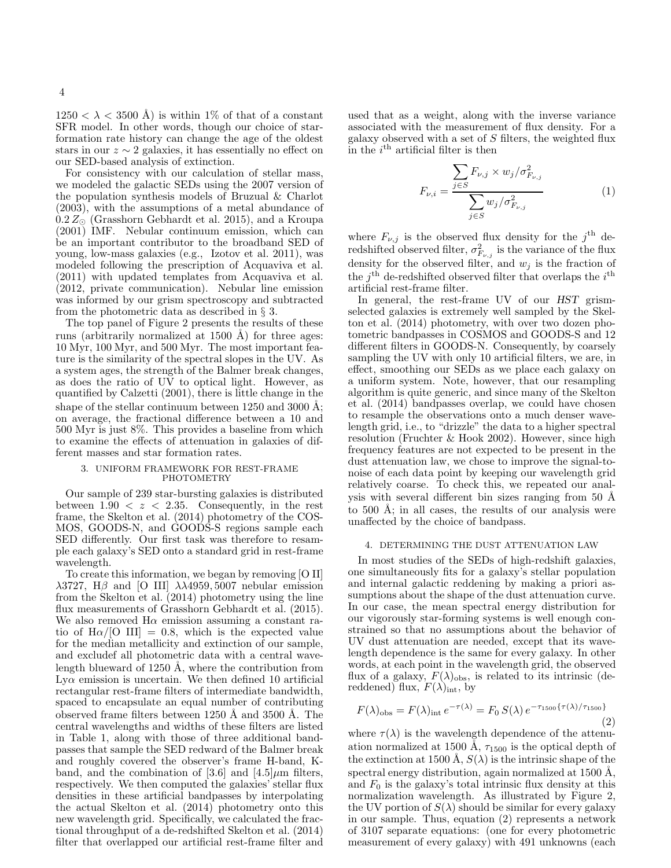$1250 < \lambda < 3500$  Å) is within 1\% of that of a constant SFR model. In other words, though our choice of starformation rate history can change the age of the oldest stars in our  $z \sim 2$  galaxies, it has essentially no effect on our SED-based analysis of extinction.

For consistency with our calculation of stellar mass, we modeled the galactic SEDs using the 2007 version of the population synthesis models of Bruzual & Charlot (2003), with the assumptions of a metal abundance of  $0.2 Z_{\odot}$  (Grasshorn Gebhardt et al. 2015), and a Kroupa (2001) IMF. Nebular continuum emission, which can be an important contributor to the broadband SED of young, low-mass galaxies (e.g., Izotov et al. 2011), was modeled following the prescription of Acquaviva et al. (2011) with updated templates from Acquaviva et al. (2012, private communication). Nebular line emission was informed by our grism spectroscopy and subtracted from the photometric data as described in § 3.

The top panel of Figure 2 presents the results of these runs (arbitrarily normalized at  $1500 \text{ Å}$ ) for three ages: 10 Myr, 100 Myr, and 500 Myr. The most important feature is the similarity of the spectral slopes in the UV. As a system ages, the strength of the Balmer break changes, as does the ratio of UV to optical light. However, as quantified by Calzetti (2001), there is little change in the shape of the stellar continuum between 1250 and 3000 Å; on average, the fractional difference between a 10 and 500 Myr is just 8%. This provides a baseline from which to examine the effects of attenuation in galaxies of different masses and star formation rates.

# 3. UNIFORM FRAMEWORK FOR REST-FRAME PHOTOMETRY

Our sample of 239 star-bursting galaxies is distributed between  $1.90 < z < 2.35$ . Consequently, in the rest frame, the Skelton et al. (2014) photometry of the COS-MOS, GOODS-N, and GOODS-S regions sample each SED differently. Our first task was therefore to resample each galaxy's SED onto a standard grid in rest-frame wavelength.

To create this information, we began by removing [O II] λ3727, Hβ and [O III]  $\lambda\lambda$ 4959, 5007 nebular emission from the Skelton et al. (2014) photometry using the line flux measurements of Grasshorn Gebhardt et al. (2015). We also removed  $H\alpha$  emission assuming a constant ratio of  $H\alpha/[O III] = 0.8$ , which is the expected value for the median metallicity and extinction of our sample, and excludef all photometric data with a central wavelength blueward of 1250 Å, where the contribution from  $Ly\alpha$  emission is uncertain. We then defined 10 artificial rectangular rest-frame filters of intermediate bandwidth, spaced to encapsulate an equal number of contributing observed frame filters between 1250 Å and 3500 Å. The central wavelengths and widths of these filters are listed in Table 1, along with those of three additional bandpasses that sample the SED redward of the Balmer break and roughly covered the observer's frame H-band, Kband, and the combination of [3.6] and [4.5] $\mu$ m filters, respectively. We then computed the galaxies' stellar flux densities in these artificial bandpasses by interpolating the actual Skelton et al. (2014) photometry onto this new wavelength grid. Specifically, we calculated the fractional throughput of a de-redshifted Skelton et al. (2014) filter that overlapped our artificial rest-frame filter and

used that as a weight, along with the inverse variance associated with the measurement of flux density. For a galaxy observed with a set of  $S$  filters, the weighted flux in the  $i<sup>th</sup>$  artificial filter is then

$$
F_{\nu,i} = \frac{\sum_{j \in S} F_{\nu,j} \times w_j / \sigma_{F_{\nu,j}}^2}{\sum_{j \in S} w_j / \sigma_{F_{\nu,j}}^2}
$$
(1)

where  $F_{\nu,j}$  is the observed flux density for the j<sup>th</sup> deredshifted observed filter,  $\sigma_{F_{\nu,j}}^2$  is the variance of the flux density for the observed filter, and  $w_j$  is the fraction of the  $j<sup>th</sup>$  de-redshifted observed filter that overlaps the  $i<sup>th</sup>$ artificial rest-frame filter.

In general, the rest-frame UV of our HST grismselected galaxies is extremely well sampled by the Skelton et al. (2014) photometry, with over two dozen photometric bandpasses in COSMOS and GOODS-S and 12 different filters in GOODS-N. Consequently, by coarsely sampling the UV with only 10 artificial filters, we are, in effect, smoothing our SEDs as we place each galaxy on a uniform system. Note, however, that our resampling algorithm is quite generic, and since many of the Skelton et al. (2014) bandpasses overlap, we could have chosen to resample the observations onto a much denser wavelength grid, i.e., to "drizzle" the data to a higher spectral resolution (Fruchter & Hook 2002). However, since high frequency features are not expected to be present in the dust attenuation law, we chose to improve the signal-tonoise of each data point by keeping our wavelength grid relatively coarse. To check this, we repeated our analysis with several different bin sizes ranging from  $50 \text{ Å}$ to  $500 \text{ Å}$ ; in all cases, the results of our analysis were unaffected by the choice of bandpass.

### 4. DETERMINING THE DUST ATTENUATION LAW

In most studies of the SEDs of high-redshift galaxies, one simultaneously fits for a galaxy's stellar population and internal galactic reddening by making a priori assumptions about the shape of the dust attenuation curve. In our case, the mean spectral energy distribution for our vigorously star-forming systems is well enough constrained so that no assumptions about the behavior of UV dust attenuation are needed, except that its wavelength dependence is the same for every galaxy. In other words, at each point in the wavelength grid, the observed flux of a galaxy,  $F(\lambda)_{\text{obs}}$ , is related to its intrinsic (dereddened) flux,  $F(\lambda)_{\text{int}}$ , by

$$
F(\lambda)_{\text{obs}} = F(\lambda)_{\text{int}} e^{-\tau(\lambda)} = F_0 S(\lambda) e^{-\tau_{1500}\{\tau(\lambda)/\tau_{1500}\}}
$$
\n(2)

where  $\tau(\lambda)$  is the wavelength dependence of the attenuation normalized at 1500 Å,  $\tau_{1500}$  is the optical depth of the extinction at 1500 Å,  $S(\lambda)$  is the intrinsic shape of the spectral energy distribution, again normalized at  $1500 \text{ Å}$ , and  $F_0$  is the galaxy's total intrinsic flux density at this normalization wavelength. As illustrated by Figure 2, the UV portion of  $S(\lambda)$  should be similar for every galaxy in our sample. Thus, equation (2) represents a network of 3107 separate equations: (one for every photometric measurement of every galaxy) with 491 unknowns (each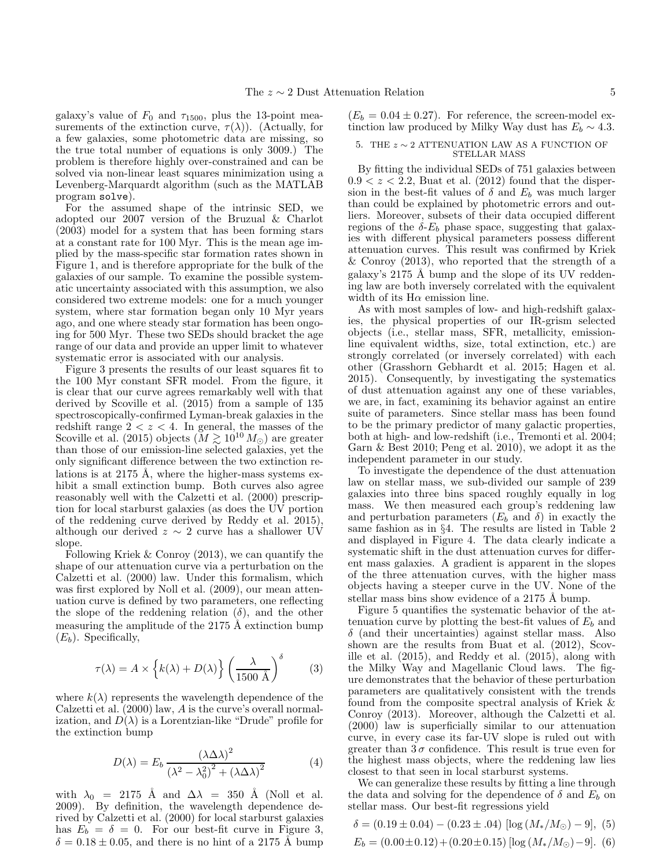galaxy's value of  $F_0$  and  $\tau_{1500}$ , plus the 13-point measurements of the extinction curve,  $\tau(\lambda)$ ). (Actually, for a few galaxies, some photometric data are missing, so the true total number of equations is only 3009.) The problem is therefore highly over-constrained and can be solved via non-linear least squares minimization using a Levenberg-Marquardt algorithm (such as the MATLAB program solve).

For the assumed shape of the intrinsic SED, we adopted our 2007 version of the Bruzual & Charlot (2003) model for a system that has been forming stars at a constant rate for 100 Myr. This is the mean age implied by the mass-specific star formation rates shown in Figure 1, and is therefore appropriate for the bulk of the galaxies of our sample. To examine the possible systematic uncertainty associated with this assumption, we also considered two extreme models: one for a much younger system, where star formation began only 10 Myr years ago, and one where steady star formation has been ongoing for 500 Myr. These two SEDs should bracket the age range of our data and provide an upper limit to whatever systematic error is associated with our analysis.

Figure 3 presents the results of our least squares fit to the 100 Myr constant SFR model. From the figure, it is clear that our curve agrees remarkably well with that derived by Scoville et al. (2015) from a sample of 135 spectroscopically-confirmed Lyman-break galaxies in the redshift range  $2 < z < 4$ . In general, the masses of the Scoville et al. (2015) objects ( $\tilde{M} \gtrsim 10^{10} M_{\odot}$ ) are greater than those of our emission-line selected galaxies, yet the only significant difference between the two extinction relations is at 2175 Å, where the higher-mass systems exhibit a small extinction bump. Both curves also agree reasonably well with the Calzetti et al. (2000) prescription for local starburst galaxies (as does the UV portion of the reddening curve derived by Reddy et al. 2015) although our derived  $z \sim 2$  curve has a shallower UV slope.

Following Kriek & Conroy (2013), we can quantify the shape of our attenuation curve via a perturbation on the Calzetti et al. (2000) law. Under this formalism, which was first explored by Noll et al. (2009), our mean attenuation curve is defined by two parameters, one reflecting the slope of the reddening relation  $(\delta)$ , and the other measuring the amplitude of the  $2175 \text{ Å}$  extinction bump  $(E_b)$ . Specifically,

$$
\tau(\lambda) = A \times \left\{ k(\lambda) + D(\lambda) \right\} \left( \frac{\lambda}{1500 \, \rm{\AA}} \right)^{\delta} \tag{3}
$$

where  $k(\lambda)$  represents the wavelength dependence of the Calzetti et al. (2000) law, A is the curve's overall normalization, and  $D(\lambda)$  is a Lorentzian-like "Drude" profile for the extinction bump

$$
D(\lambda) = E_b \frac{(\lambda \Delta \lambda)^2}{(\lambda^2 - \lambda_0^2)^2 + (\lambda \Delta \lambda)^2}
$$
 (4)

with  $\lambda_0$  = 2175 Å and  $\Delta\lambda$  = 350 Å (Noll et al. 2009). By definition, the wavelength dependence derived by Calzetti et al. (2000) for local starburst galaxies has  $E_b = \delta = 0$ . For our best-fit curve in Figure 3,  $\delta = 0.18 \pm 0.05$ , and there is no hint of a 2175 Å bump  $(E_b = 0.04 \pm 0.27)$ . For reference, the screen-model extinction law produced by Milky Way dust has  $E_b \sim 4.3$ .

### 5. THE  $z \sim 2$  ATTENUATION LAW AS A FUNCTION OF STELLAR MASS

By fitting the individual SEDs of 751 galaxies between  $0.9 < z < 2.2$ , Buat et al. (2012) found that the dispersion in the best-fit values of  $\delta$  and  $E_b$  was much larger than could be explained by photometric errors and outliers. Moreover, subsets of their data occupied different regions of the  $\delta$ - $E_b$  phase space, suggesting that galaxies with different physical parameters possess different attenuation curves. This result was confirmed by Kriek & Conroy (2013), who reported that the strength of a galaxy's  $2175$  Å bump and the slope of its UV reddening law are both inversely correlated with the equivalent width of its  $H\alpha$  emission line.

As with most samples of low- and high-redshift galaxies, the physical properties of our IR-grism selected objects (i.e., stellar mass, SFR, metallicity, emissionline equivalent widths, size, total extinction, etc.) are strongly correlated (or inversely correlated) with each other (Grasshorn Gebhardt et al. 2015; Hagen et al. 2015). Consequently, by investigating the systematics of dust attenuation against any one of these variables, we are, in fact, examining its behavior against an entire suite of parameters. Since stellar mass has been found to be the primary predictor of many galactic properties, both at high- and low-redshift (i.e., Tremonti et al. 2004; Garn & Best 2010; Peng et al. 2010), we adopt it as the independent parameter in our study.

To investigate the dependence of the dust attenuation law on stellar mass, we sub-divided our sample of 239 galaxies into three bins spaced roughly equally in log mass. We then measured each group's reddening law and perturbation parameters  $(E_b \text{ and } \delta)$  in exactly the same fashion as in §4. The results are listed in Table 2 and displayed in Figure 4. The data clearly indicate a systematic shift in the dust attenuation curves for different mass galaxies. A gradient is apparent in the slopes of the three attenuation curves, with the higher mass objects having a steeper curve in the UV. None of the stellar mass bins show evidence of a  $2175 \text{ Å}$  bump.

Figure 5 quantifies the systematic behavior of the attenuation curve by plotting the best-fit values of  $E_b$  and  $\delta$  (and their uncertainties) against stellar mass. Also shown are the results from Buat et al. (2012), Scoville et al. (2015), and Reddy et al. (2015), along with the Milky Way and Magellanic Cloud laws. The figure demonstrates that the behavior of these perturbation parameters are qualitatively consistent with the trends found from the composite spectral analysis of Kriek & Conroy (2013). Moreover, although the Calzetti et al. (2000) law is superficially similar to our attenuation curve, in every case its far-UV slope is ruled out with greater than  $3\sigma$  confidence. This result is true even for the highest mass objects, where the reddening law lies closest to that seen in local starburst systems.

We can generalize these results by fitting a line through the data and solving for the dependence of  $\delta$  and  $E_b$  on stellar mass. Our best-fit regressions yield

$$
\delta = (0.19 \pm 0.04) - (0.23 \pm .04) [\log (M_*/M_{\odot}) - 9], (5)
$$
  
\n
$$
E_b = (0.00 \pm 0.12) + (0.20 \pm 0.15) [\log (M_*/M_{\odot}) - 9]. (6)
$$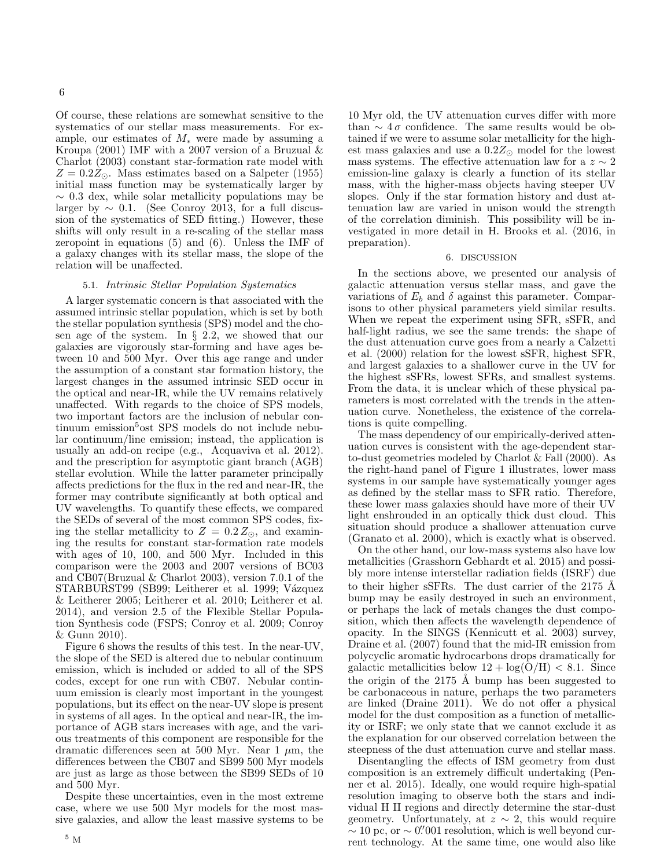Of course, these relations are somewhat sensitive to the systematics of our stellar mass measurements. For example, our estimates of  $M_*$  were made by assuming a Kroupa (2001) IMF with a 2007 version of a Bruzual & Charlot (2003) constant star-formation rate model with  $Z = 0.2Z_{\odot}$ . Mass estimates based on a Salpeter (1955) initial mass function may be systematically larger by  $\sim$  0.3 dex, while solar metallicity populations may be larger by  $\sim 0.1$ . (See Conroy 2013, for a full discussion of the systematics of SED fitting.) However, these shifts will only result in a re-scaling of the stellar mass zeropoint in equations (5) and (6). Unless the IMF of a galaxy changes with its stellar mass, the slope of the relation will be unaffected.

# 5.1. Intrinsic Stellar Population Systematics

A larger systematic concern is that associated with the assumed intrinsic stellar population, which is set by both the stellar population synthesis (SPS) model and the chosen age of the system. In § 2.2, we showed that our galaxies are vigorously star-forming and have ages between 10 and 500 Myr. Over this age range and under the assumption of a constant star formation history, the largest changes in the assumed intrinsic SED occur in the optical and near-IR, while the UV remains relatively unaffected. With regards to the choice of SPS models, two important factors are the inclusion of nebular continuum emission<sup>5</sup>ost SPS models do not include nebular continuum/line emission; instead, the application is usually an add-on recipe (e.g., Acquaviva et al. 2012). and the prescription for asymptotic giant branch (AGB) stellar evolution. While the latter parameter principally affects predictions for the flux in the red and near-IR, the former may contribute significantly at both optical and UV wavelengths. To quantify these effects, we compared the SEDs of several of the most common SPS codes, fixing the stellar metallicity to  $Z = 0.2 Z_{\odot}$ , and examining the results for constant star-formation rate models with ages of 10, 100, and 500 Myr. Included in this comparison were the 2003 and 2007 versions of BC03 and CB07(Bruzual & Charlot 2003), version 7.0.1 of the STARBURST99 (SB99; Leitherer et al. 1999; Vázquez & Leitherer 2005; Leitherer et al. 2010; Leitherer et al. 2014), and version 2.5 of the Flexible Stellar Population Synthesis code (FSPS; Conroy et al. 2009; Conroy & Gunn 2010).

Figure 6 shows the results of this test. In the near-UV, the slope of the SED is altered due to nebular continuum emission, which is included or added to all of the SPS codes, except for one run with CB07. Nebular continuum emission is clearly most important in the youngest populations, but its effect on the near-UV slope is present in systems of all ages. In the optical and near-IR, the importance of AGB stars increases with age, and the various treatments of this component are responsible for the dramatic differences seen at 500 Myr. Near 1  $\mu$ m, the differences between the CB07 and SB99 500 Myr models are just as large as those between the SB99 SEDs of 10 and 500 Myr.

Despite these uncertainties, even in the most extreme case, where we use 500 Myr models for the most massive galaxies, and allow the least massive systems to be 10 Myr old, the UV attenuation curves differ with more than  $\sim 4\sigma$  confidence. The same results would be obtained if we were to assume solar metallicity for the highest mass galaxies and use a  $0.2Z_{\odot}$  model for the lowest mass systems. The effective attenuation law for a  $z \sim 2$ emission-line galaxy is clearly a function of its stellar mass, with the higher-mass objects having steeper UV slopes. Only if the star formation history and dust attenuation law are varied in unison would the strength of the correlation diminish. This possibility will be investigated in more detail in H. Brooks et al. (2016, in preparation).

### 6. DISCUSSION

In the sections above, we presented our analysis of galactic attenuation versus stellar mass, and gave the variations of  $E_b$  and  $\delta$  against this parameter. Comparisons to other physical parameters yield similar results. When we repeat the experiment using SFR, sSFR, and half-light radius, we see the same trends: the shape of the dust attenuation curve goes from a nearly a Calzetti et al. (2000) relation for the lowest sSFR, highest SFR, and largest galaxies to a shallower curve in the UV for the highest sSFRs, lowest SFRs, and smallest systems. From the data, it is unclear which of these physical parameters is most correlated with the trends in the attenuation curve. Nonetheless, the existence of the correlations is quite compelling.

The mass dependency of our empirically-derived attenuation curves is consistent with the age-dependent starto-dust geometries modeled by Charlot & Fall (2000). As the right-hand panel of Figure 1 illustrates, lower mass systems in our sample have systematically younger ages as defined by the stellar mass to SFR ratio. Therefore, these lower mass galaxies should have more of their UV light enshrouded in an optically thick dust cloud. This situation should produce a shallower attenuation curve (Granato et al. 2000), which is exactly what is observed.

On the other hand, our low-mass systems also have low metallicities (Grasshorn Gebhardt et al. 2015) and possibly more intense interstellar radiation fields (ISRF) due to their higher sSFRs. The dust carrier of the  $2175 \text{ A}$ bump may be easily destroyed in such an environment, or perhaps the lack of metals changes the dust composition, which then affects the wavelength dependence of opacity. In the SINGS (Kennicutt et al. 2003) survey, Draine et al. (2007) found that the mid-IR emission from polycyclic aromatic hydrocarbons drops dramatically for galactic metallicities below  $12 + \log(O/H) < 8.1$ . Since the origin of the  $2175 \text{ Å}$  bump has been suggested to be carbonaceous in nature, perhaps the two parameters are linked (Draine 2011). We do not offer a physical model for the dust composition as a function of metallicity or ISRF; we only state that we cannot exclude it as the explanation for our observed correlation between the steepness of the dust attenuation curve and stellar mass.

Disentangling the effects of ISM geometry from dust composition is an extremely difficult undertaking (Penner et al. 2015). Ideally, one would require high-spatial resolution imaging to observe both the stars and individual H II regions and directly determine the star-dust geometry. Unfortunately, at  $z \sim 2$ , this would require  $\sim 10$  pc, or  $\sim 0''$  001 resolution, which is well beyond current technology. At the same time, one would also like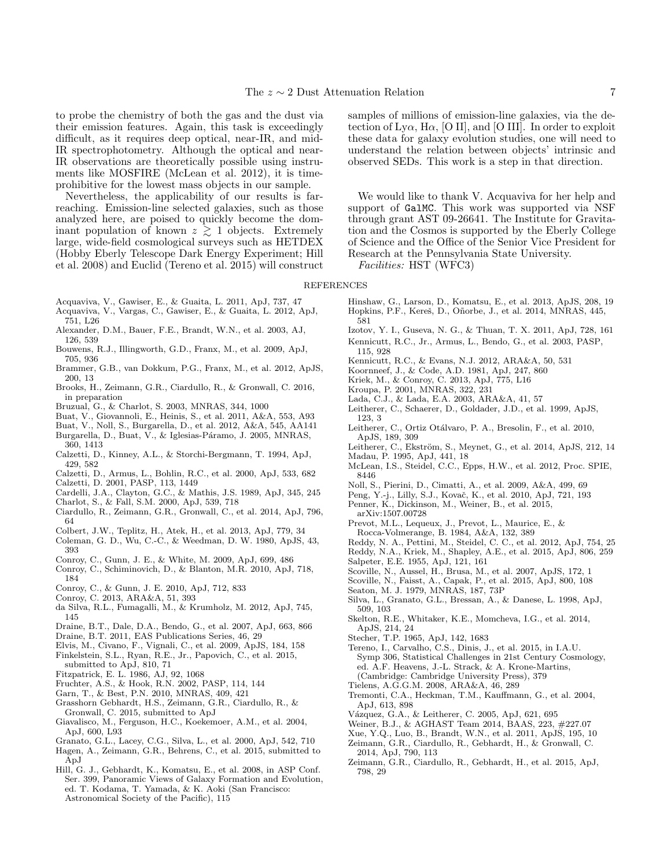to probe the chemistry of both the gas and the dust via their emission features. Again, this task is exceedingly difficult, as it requires deep optical, near-IR, and mid-IR spectrophotometry. Although the optical and near-IR observations are theoretically possible using instruments like MOSFIRE (McLean et al. 2012), it is timeprohibitive for the lowest mass objects in our sample.

Nevertheless, the applicability of our results is farreaching. Emission-line selected galaxies, such as those analyzed here, are poised to quickly become the dominant population of known  $z \geq 1$  objects. Extremely large, wide-field cosmological surveys such as HETDEX (Hobby Eberly Telescope Dark Energy Experiment; Hill et al. 2008) and Euclid (Tereno et al. 2015) will construct samples of millions of emission-line galaxies, via the detection of Ly $\alpha$ , H $\alpha$ , [O II], and [O III]. In order to exploit these data for galaxy evolution studies, one will need to understand the relation between objects' intrinsic and observed SEDs. This work is a step in that direction.

We would like to thank V. Acquaviva for her help and support of GalMC. This work was supported via NSF through grant AST 09-26641. The Institute for Gravitation and the Cosmos is supported by the Eberly College of Science and the Office of the Senior Vice President for Research at the Pennsylvania State University.

Facilities: HST (WFC3)

#### REFERENCES

- Acquaviva, V., Gawiser, E., & Guaita, L. 2011, ApJ, 737, 47 Acquaviva, V., Vargas, C., Gawiser, E., & Guaita, L. 2012, ApJ,
- 751, L26
- Alexander, D.M., Bauer, F.E., Brandt, W.N., et al. 2003, AJ, 126, 539
- Bouwens, R.J., Illingworth, G.D., Franx, M., et al. 2009, ApJ, 705, 936
- Brammer, G.B., van Dokkum, P.G., Franx, M., et al. 2012, ApJS, 200, 13
- Brooks, H., Zeimann, G.R., Ciardullo, R., & Gronwall, C. 2016, in preparation
- Bruzual, G., & Charlot, S. 2003, MNRAS, 344, 1000
- Buat, V., Giovannoli, E., Heinis, S., et al. 2011, A&A, 553, A93
- Buat, V., Noll, S., Burgarella, D., et al. 2012, A&A, 545, AA141
- Burgarella, D., Buat, V., & Iglesias-Páramo, J. 2005, MNRAS, 360, 1413
- Calzetti, D., Kinney, A.L., & Storchi-Bergmann, T. 1994, ApJ, 429, 582
- Calzetti, D., Armus, L., Bohlin, R.C., et al. 2000, ApJ, 533, 682
- Calzetti, D. 2001, PASP, 113, 1449
- Cardelli, J.A., Clayton, G.C., & Mathis, J.S. 1989, ApJ, 345, 245
- Charlot, S., & Fall, S.M. 2000, ApJ, 539, 718
- Ciardullo, R., Zeimann, G.R., Gronwall, C., et al. 2014, ApJ, 796, 64
- Colbert, J.W., Teplitz, H., Atek, H., et al. 2013, ApJ, 779, 34
- Coleman, G. D., Wu, C.-C., & Weedman, D. W. 1980, ApJS, 43, 393
- Conroy, C., Gunn, J. E., & White, M. 2009, ApJ, 699, 486
- Conroy, C., Schiminovich, D., & Blanton, M.R. 2010, ApJ, 718, 184
- Conroy, C., & Gunn, J. E. 2010, ApJ, 712, 833
- Conroy, C. 2013, ARA&A, 51, 393
- da Silva, R.L., Fumagalli, M., & Krumholz, M. 2012, ApJ, 745, 145
- Draine, B.T., Dale, D.A., Bendo, G., et al. 2007, ApJ, 663, 866
- Draine, B.T. 2011, EAS Publications Series, 46, 29
- Elvis, M., Civano, F., Vignali, C., et al. 2009, ApJS, 184, 158
- Finkelstein, S.L., Ryan, R.E., Jr., Papovich, C., et al. 2015, submitted to ApJ, 810, 71
- Fitzpatrick, E. L. 1986, AJ, 92, 1068
- Fruchter, A.S., & Hook, R.N. 2002, PASP, 114, 144
- Garn, T., & Best, P.N. 2010, MNRAS, 409, 421
- Grasshorn Gebhardt, H.S., Zeimann, G.R., Ciardullo, R., & Gronwall, C. 2015, submitted to ApJ
- Giavalisco, M., Ferguson, H.C., Koekemoer, A.M., et al. 2004, ApJ, 600, L93
- Granato, G.L., Lacey, C.G., Silva, L., et al. 2000, ApJ, 542, 710
- Hagen, A., Zeimann, G.R., Behrens, C., et al. 2015, submitted to ApJ
- Hill, G. J., Gebhardt, K., Komatsu, E., et al. 2008, in ASP Conf. Ser. 399, Panoramic Views of Galaxy Formation and Evolution, ed. T. Kodama, T. Yamada, & K. Aoki (San Francisco: Astronomical Society of the Pacific), 115
- Hinshaw, G., Larson, D., Komatsu, E., et al. 2013, ApJS, 208, 19 Hopkins, P.F., Kereš, D., Oñorbe, J., et al. 2014, MNRAS, 445, 581
- Izotov, Y. I., Guseva, N. G., & Thuan, T. X. 2011, ApJ, 728, 161
- Kennicutt, R.C., Jr., Armus, L., Bendo, G., et al. 2003, PASP,
- 115, 928 Kennicutt, R.C., & Evans, N.J. 2012, ARA&A, 50, 531
- Koornneef, J., & Code, A.D. 1981, ApJ, 247, 860
- 
- Kriek, M., & Conroy, C. 2013, ApJ, 775, L16
- Kroupa, P. 2001, MNRAS, 322, 231
- Lada, C.J., & Lada, E.A. 2003, ARA&A, 41, 57
- Leitherer, C., Schaerer, D., Goldader, J.D., et al. 1999, ApJS, 123, 3
- Leitherer, C., Ortiz Otálvaro, P. A., Bresolin, F., et al. 2010, ApJS, 189, 309
- Leitherer, C., Ekström, S., Meynet, G., et al. 2014, ApJS, 212, 14 Madau, P. 1995, ApJ, 441, 18
- McLean, I.S., Steidel, C.C., Epps, H.W., et al. 2012, Proc. SPIE, 8446
- Noll, S., Pierini, D., Cimatti, A., et al. 2009, A&A, 499, 69
- Peng, Y.-j., Lilly, S.J., Kovač, K., et al. 2010, ApJ, 721, 193
- Penner, K., Dickinson, M., Weiner, B., et al. 2015,
- arXiv:1507.00728
- Prevot, M.L., Lequeux, J., Prevot, L., Maurice, E., & Rocca-Volmerange, B. 1984, A&A, 132, 389
- Reddy, N. A., Pettini, M., Steidel, C. C., et al. 2012, ApJ, 754, 25
- Reddy, N.A., Kriek, M., Shapley, A.E., et al. 2015, ApJ, 806, 259
- Salpeter, E.E. 1955, ApJ, 121, 161
- Scoville, N., Aussel, H., Brusa, M., et al. 2007, ApJS, 172, 1
- Scoville, N., Faisst, A., Capak, P., et al. 2015, ApJ, 800, 108
- Seaton, M. J. 1979, MNRAS, 187, 73P
- Silva, L., Granato, G.L., Bressan, A., & Danese, L. 1998, ApJ, 509, 103
- Skelton, R.E., Whitaker, K.E., Momcheva, I.G., et al. 2014, ApJS, 214, 24
- Stecher, T.P. 1965, ApJ, 142, 1683
- Tereno, I., Carvalho, C.S., Dinis, J., et al. 2015, in I.A.U. Symp 306, Statistical Challenges in 21st Century Cosmology, ed. A.F. Heavens, J.-L. Strack, & A. Krone-Martins, (Cambridge: Cambridge University Press), 379
- Tielens, A.G.G.M. 2008, ARA&A, 46, 289
- Tremonti, C.A., Heckman, T.M., Kauffmann, G., et al. 2004, ApJ, 613, 898
- Vázquez, G.A., & Leitherer, C. 2005, ApJ, 621, 695
- Weiner, B.J., & AGHAST Team 2014, BAAS, 223, #227.07
- Xue, Y.Q., Luo, B., Brandt, W.N., et al. 2011, ApJS, 195, 10
- Zeimann, G.R., Ciardullo, R., Gebhardt, H., & Gronwall, C. 2014, ApJ, 790, 113
- Zeimann, G.R., Ciardullo, R., Gebhardt, H., et al. 2015, ApJ, 798, 29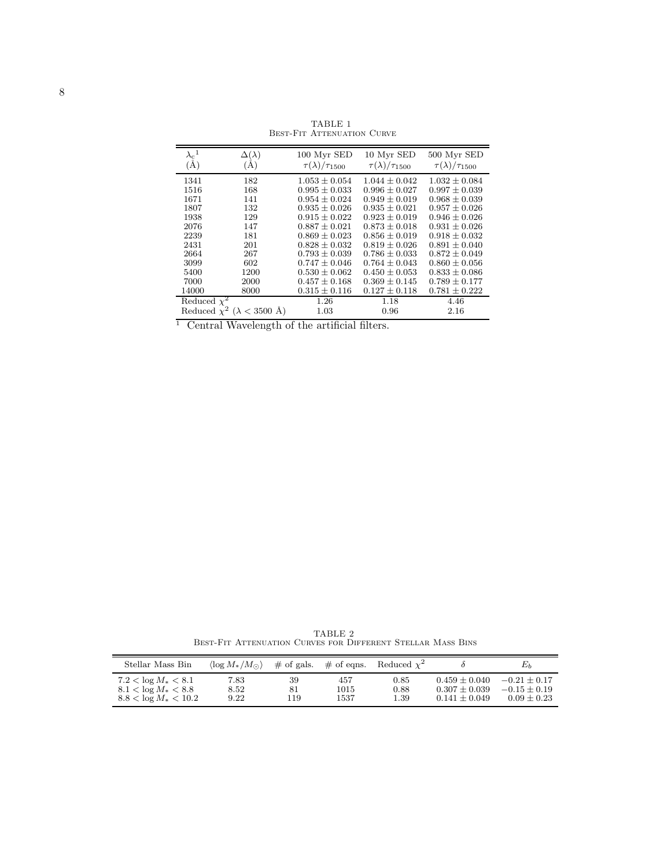| $\lambda_\mathrm{c}{}^1$ | $\Delta(\lambda)$                      | 100 Myr SED                 | 10 Myr SED                  | 500 Myr SED                 |
|--------------------------|----------------------------------------|-----------------------------|-----------------------------|-----------------------------|
| $(\AA)$                  | (A)                                    | $\tau(\lambda)/\tau_{1500}$ | $\tau(\lambda)/\tau_{1500}$ | $\tau(\lambda)/\tau_{1500}$ |
| 1341                     | 182                                    | $1.053 \pm 0.054$           | $1.044 \pm 0.042$           | $1.032 \pm 0.084$           |
| 1516                     | 168                                    | $0.995 \pm 0.033$           | $0.996 \pm 0.027$           | $0.997 \pm 0.039$           |
| 1671                     | 141                                    | $0.954 \pm 0.024$           | $0.949 \pm 0.019$           | $0.968 \pm 0.039$           |
| 1807                     | 132                                    | $0.935 \pm 0.026$           | $0.935 \pm 0.021$           | $0.957 \pm 0.026$           |
| 1938                     | 129                                    | $0.915 \pm 0.022$           | $0.923 \pm 0.019$           | $0.946 \pm 0.026$           |
| 2076                     | 147                                    | $0.887 \pm 0.021$           | $0.873 \pm 0.018$           | $0.931 \pm 0.026$           |
| 2239                     | 181                                    | $0.869 \pm 0.023$           | $0.856 \pm 0.019$           | $0.918 \pm 0.032$           |
| 2431                     | 201                                    | $0.828 \pm 0.032$           | $0.819 \pm 0.026$           | $0.891 \pm 0.040$           |
| 2664                     | 267                                    | $0.793 \pm 0.039$           | $0.786 \pm 0.033$           | $0.872 \pm 0.049$           |
| 3099                     | 602                                    | $0.747 \pm 0.046$           | $0.764 \pm 0.043$           | $0.860 \pm 0.056$           |
| 5400                     | 1200                                   | $0.530 \pm 0.062$           | $0.450 \pm 0.053$           | $0.833 \pm 0.086$           |
| 7000                     | 2000                                   | $0.457 \pm 0.168$           | $0.369 + 0.145$             | $0.789 \pm 0.177$           |
| 14000                    | 8000                                   | $0.315 \pm 0.116$           | $0.127 + 0.118$             | $0.781 \pm 0.222$           |
| Reduced $\chi^2$         |                                        | 1.26                        | 1.18                        | 4.46                        |
|                          | Reduced $\chi^2$ ( $\lambda$ < 3500 Å) | 1.03                        | 0.96                        | 2.16                        |

TABLE 1 Best-Fit Attenuation Curve

 $\overline{1}$  Central Wavelength of the artificial filters.

TABLE 2 Best-Fit Attenuation Curves for Different Stellar Mass Bins

| Stellar Mass Bin          | $\langle \log M_{*}/M_{\odot} \rangle$ |     | $\#$ of gals. $\#$ of eqns. | Reduced $\chi^2$ |                 | $E_h$           |
|---------------------------|----------------------------------------|-----|-----------------------------|------------------|-----------------|-----------------|
| $7.2 < \log M_{*} < 8.1$  | 7.83                                   | 39  | 457                         | 0.85             | $0.459 + 0.040$ | $-0.21 + 0.17$  |
| $8.1 < \log M_{*} < 8.8$  | 8.52                                   | 81  | 1015                        | 0.88             | $0.307 + 0.039$ | $-0.15 + 0.19$  |
| $8.8 < \log M_{*} < 10.2$ | 9.22                                   | 119 | 1537                        | 1.39             | $0.141 + 0.049$ | $0.09 \pm 0.23$ |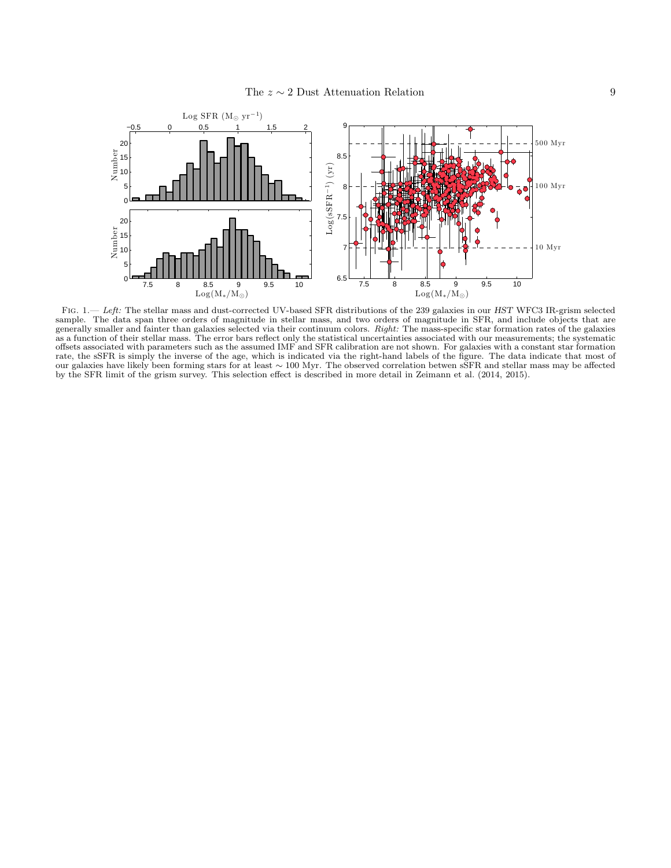

FIG. 1.— Left: The stellar mass and dust-corrected UV-based SFR distributions of the 239 galaxies in our HST WFC3 IR-grism selected sample. The data span three orders of magnitude in stellar mass, and two orders of magnitude in SFR, and include objects that are generally smaller and fainter than galaxies selected via their continuum colors. Right: The mass-specific star formation rates of the galaxies as a function of their stellar mass. The error bars reflect only the statistical uncertainties associated with our measurements; the systematic offsets associated with parameters such as the assumed IMF and SFR calibration are not shown. For galaxies with a constant star formation rate, the sSFR is simply the inverse of the age, which is indicated via the right-hand labels of the figure. The data indicate that most of our galaxies have likely been forming stars for at least ∼ 100 Myr. The observed correlation betwen sSFR and stellar mass may be affected by the SFR limit of the grism survey. This selection effect is described in more detail in Zeimann et al. (2014, 2015).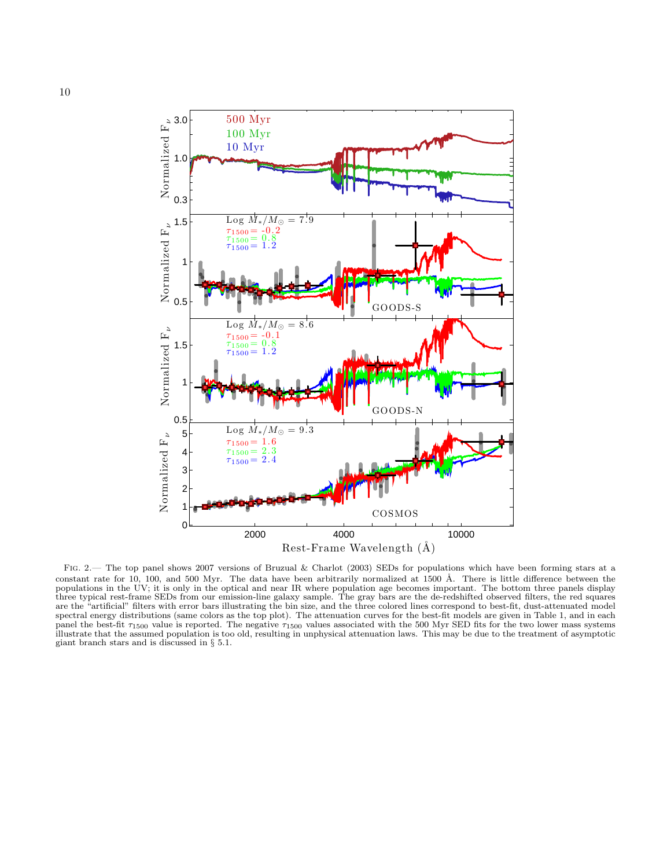

FIG. 2.— The top panel shows 2007 versions of Bruzual & Charlot (2003) SEDs for populations which have been forming stars at a constant rate for 10, 100, and 500 Myr. The data have been arbitrarily normalized at 1500 Å. There is little difference between the populations in the UV; it is only in the optical and near IR where population age becomes important. The bottom three panels display three typical rest-frame SEDs from our emission-line galaxy sample. The gray bars are the de-redshifted observed filters, the red squares are the "artificial" filters with error bars illustrating the bin size, and the three colored lines correspond to best-fit, dust-attenuated model spectral energy distributions (same colors as the top plot). The attenuation curves for the best-fit models are given in Table 1, and in each panel the best-fit  $\tau_{1500}$  value is reported. The negative  $\tau_{1500}$  values associated with the 500 Myr SED fits for the two lower mass systems illustrate that the assumed population is too old, resulting in unphysical attenuation laws. This may be due to the treatment of asymptotic giant branch stars and is discussed in § 5.1.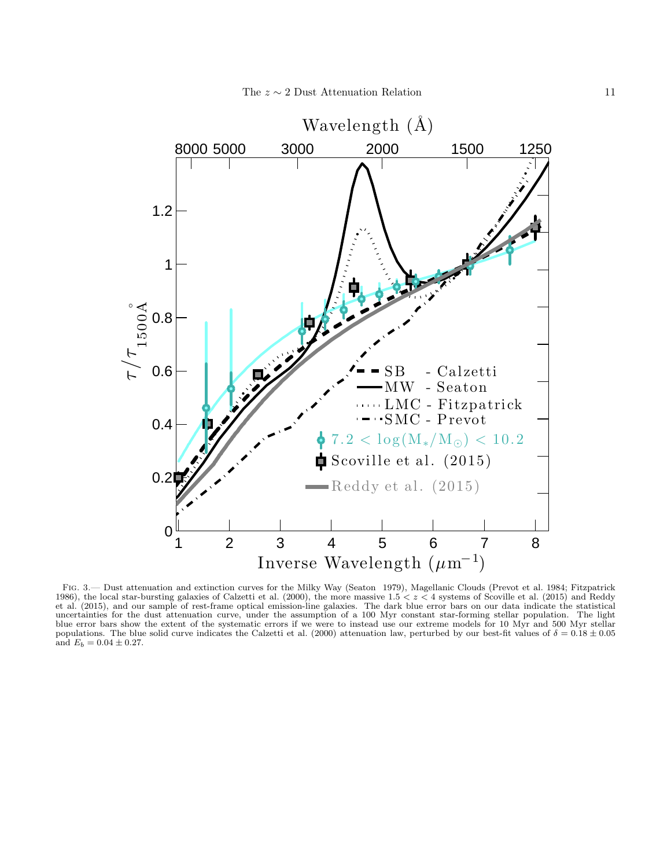

Fig. 3.— Dust attenuation and extinction curves for the Milky Way (Seaton 1979), Magellanic Clouds (Prevot et al. 1984; Fitzpatrick 1986), the local star-bursting galaxies of Calzetti et al. (2000), the more massive  $1.5 < z < 4$  systems of Scoville et al. (2015) and Reddy et al. (2015), and our sample of rest-frame optical emission-line galaxies. The dark blue error bars on our data indicate the statistical uncertainties for the dust attenuation curve, under the assumption of a 100 Myr constant star-forming stellar population. The light blue error bars show the extent of the systematic errors if we were to instead use our extreme models for 10 Myr and 500 Myr stellar populations. The blue solid curve indicates the Calzetti et al. (2000) attenuation law, perturbed by our best-fit values of  $\delta = 0.18 \pm 0.05$ and  $E_b = 0.04 \pm 0.27$ .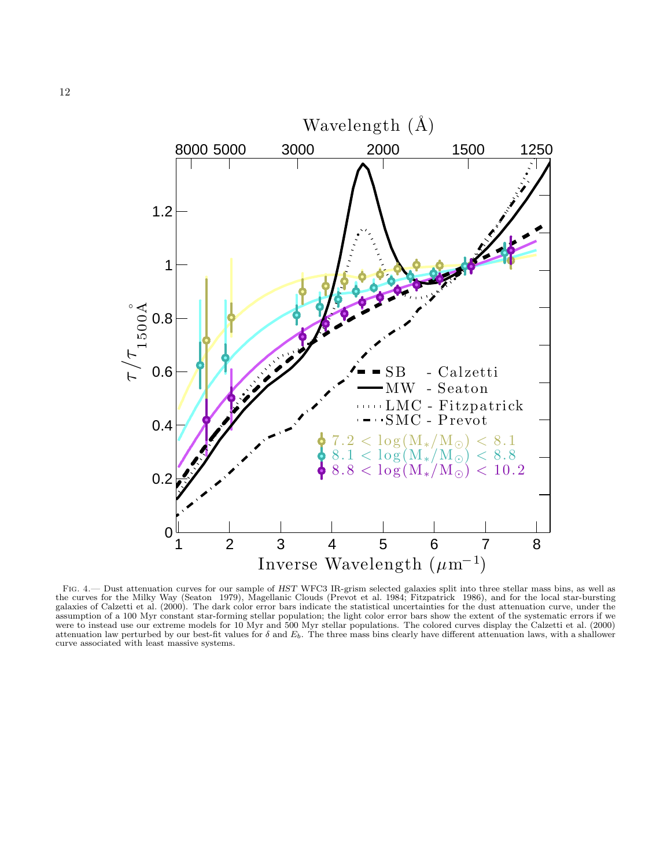

FIG. 4.— Dust attenuation curves for our sample of HST WFC3 IR-grism selected galaxies split into three stellar mass bins, as well as the curves for the Milky Way (Seaton 1979), Magellanic Clouds (Prevot et al. 1984; Fitzpatrick 1986), and for the local star-bursting galaxies of Calzetti et al. (2000). The dark color error bars indicate the statistical uncertainties for the dust attenuation curve, under the assumption of a 100 Myr constant star-forming stellar population; the light color error bars show the extent of the systematic errors if we were to instead use our extreme models for 10 Myr and 500 Myr stellar populations. The colored curves display the Calzetti et al. (2000) attenuation law perturbed by our best-fit values for  $\delta$  and  $E_b$ . The three mass bins clearly have different attenuation laws, with a shallower curve associated with least massive systems.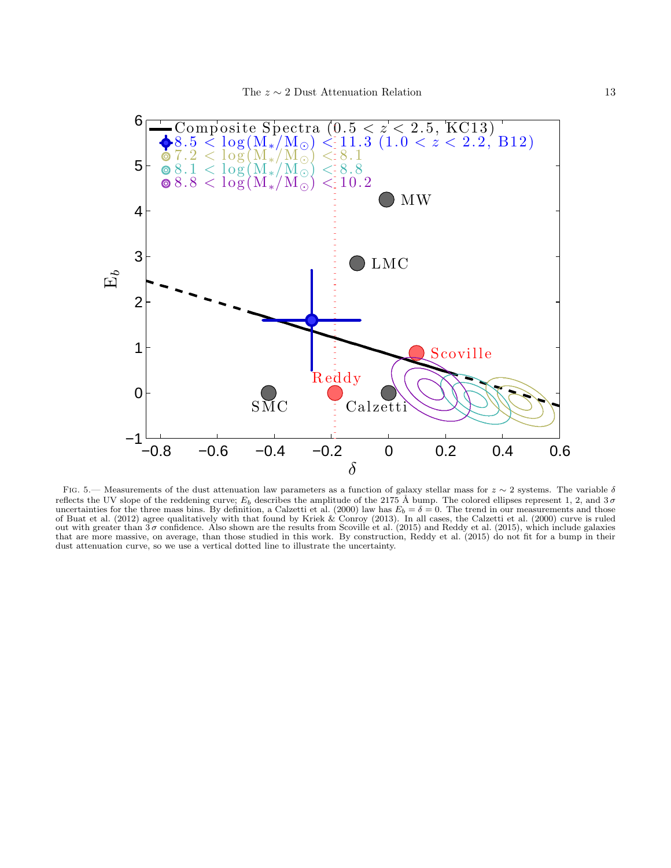

FIG. 5.— Measurements of the dust attenuation law parameters as a function of galaxy stellar mass for  $z \sim 2$  systems. The variable  $\delta$ reflects the UV slope of the reddening curve;  $E_b$  describes the amplitude of the 2175 Å bump. The colored ellipses represent 1, 2, and  $3\sigma$ uncertainties for the three mass bins. By definition, a Calzetti et al. (2000) law has  $E_b = \delta = 0$ . The trend in our measurements and those of Buat et al. (2012) agree qualitatively with that found by Kriek & Conroy (2013). In all cases, the Calzetti et al. (2000) curve is ruled out with greater than  $3\sigma$  confidence. Also shown are the results from Scoville et al. (2015) and Reddy et al. (2015), which include galaxies that are more massive, on average, than those studied in this work. By construction, Reddy et al. (2015) do not fit for a bump in their dust attenuation curve, so we use a vertical dotted line to illustrate the uncertainty.